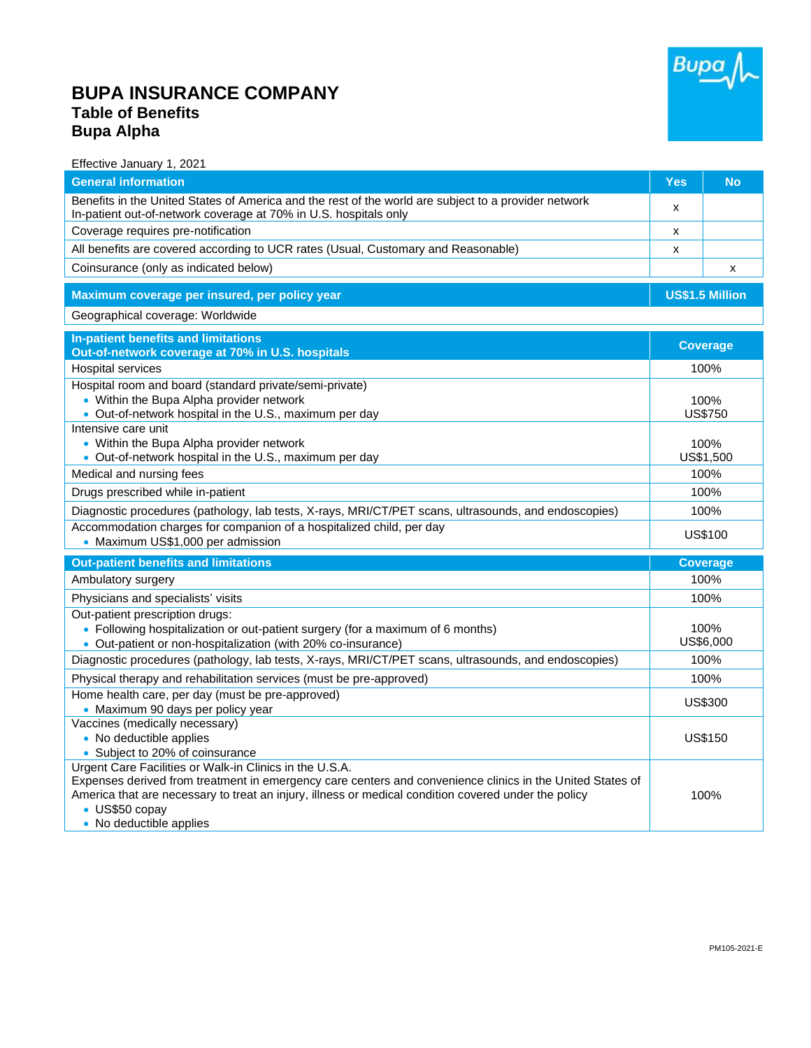## **BUPA INSURANCE COMPANY Table of Benefits Bupa Alpha**



## Effective January 1, 2021

| <b>General information</b>                                                                                                                                               | Yes                    | <b>No</b>       |  |
|--------------------------------------------------------------------------------------------------------------------------------------------------------------------------|------------------------|-----------------|--|
| Benefits in the United States of America and the rest of the world are subject to a provider network<br>In-patient out-of-network coverage at 70% in U.S. hospitals only | x                      |                 |  |
| Coverage requires pre-notification                                                                                                                                       | x                      |                 |  |
| All benefits are covered according to UCR rates (Usual, Customary and Reasonable)                                                                                        | x                      |                 |  |
| Coinsurance (only as indicated below)                                                                                                                                    |                        | X               |  |
| Maximum coverage per insured, per policy year                                                                                                                            | US\$1.5 Million        |                 |  |
| Geographical coverage: Worldwide                                                                                                                                         |                        |                 |  |
| In-patient benefits and limitations                                                                                                                                      | <b>Coverage</b>        |                 |  |
| Out-of-network coverage at 70% in U.S. hospitals                                                                                                                         |                        |                 |  |
| <b>Hospital services</b>                                                                                                                                                 | 100%                   |                 |  |
| Hospital room and board (standard private/semi-private)<br>• Within the Bupa Alpha provider network                                                                      |                        |                 |  |
| • Out-of-network hospital in the U.S., maximum per day                                                                                                                   | 100%<br><b>US\$750</b> |                 |  |
| Intensive care unit                                                                                                                                                      |                        |                 |  |
| • Within the Bupa Alpha provider network                                                                                                                                 | 100%                   |                 |  |
| • Out-of-network hospital in the U.S., maximum per day                                                                                                                   | US\$1,500              |                 |  |
| Medical and nursing fees                                                                                                                                                 | 100%                   |                 |  |
| Drugs prescribed while in-patient                                                                                                                                        | 100%                   |                 |  |
| Diagnostic procedures (pathology, lab tests, X-rays, MRI/CT/PET scans, ultrasounds, and endoscopies)                                                                     | 100%                   |                 |  |
| Accommodation charges for companion of a hospitalized child, per day<br>• Maximum US\$1,000 per admission                                                                | US\$100                |                 |  |
| <b>Out-patient benefits and limitations</b>                                                                                                                              |                        | <b>Coverage</b> |  |
| Ambulatory surgery                                                                                                                                                       | 100%                   |                 |  |
| Physicians and specialists' visits                                                                                                                                       | 100%                   |                 |  |
| Out-patient prescription drugs:                                                                                                                                          |                        |                 |  |
| • Following hospitalization or out-patient surgery (for a maximum of 6 months)                                                                                           | 100%                   |                 |  |
| • Out-patient or non-hospitalization (with 20% co-insurance)                                                                                                             | US\$6,000              |                 |  |
| Diagnostic procedures (pathology, lab tests, X-rays, MRI/CT/PET scans, ultrasounds, and endoscopies)                                                                     | 100%                   |                 |  |
| Physical therapy and rehabilitation services (must be pre-approved)                                                                                                      | 100%                   |                 |  |
| Home health care, per day (must be pre-approved)<br>• Maximum 90 days per policy year                                                                                    | US\$300                |                 |  |
| Vaccines (medically necessary)                                                                                                                                           |                        |                 |  |
| • No deductible applies                                                                                                                                                  | <b>US\$150</b>         |                 |  |
| • Subject to 20% of coinsurance                                                                                                                                          |                        |                 |  |
| Urgent Care Facilities or Walk-in Clinics in the U.S.A.<br>Expenses derived from treatment in emergency care centers and convenience clinics in the United States of     |                        |                 |  |
| America that are necessary to treat an injury, illness or medical condition covered under the policy                                                                     |                        | 100%            |  |
| • US\$50 copay                                                                                                                                                           |                        |                 |  |
| • No deductible applies                                                                                                                                                  |                        |                 |  |